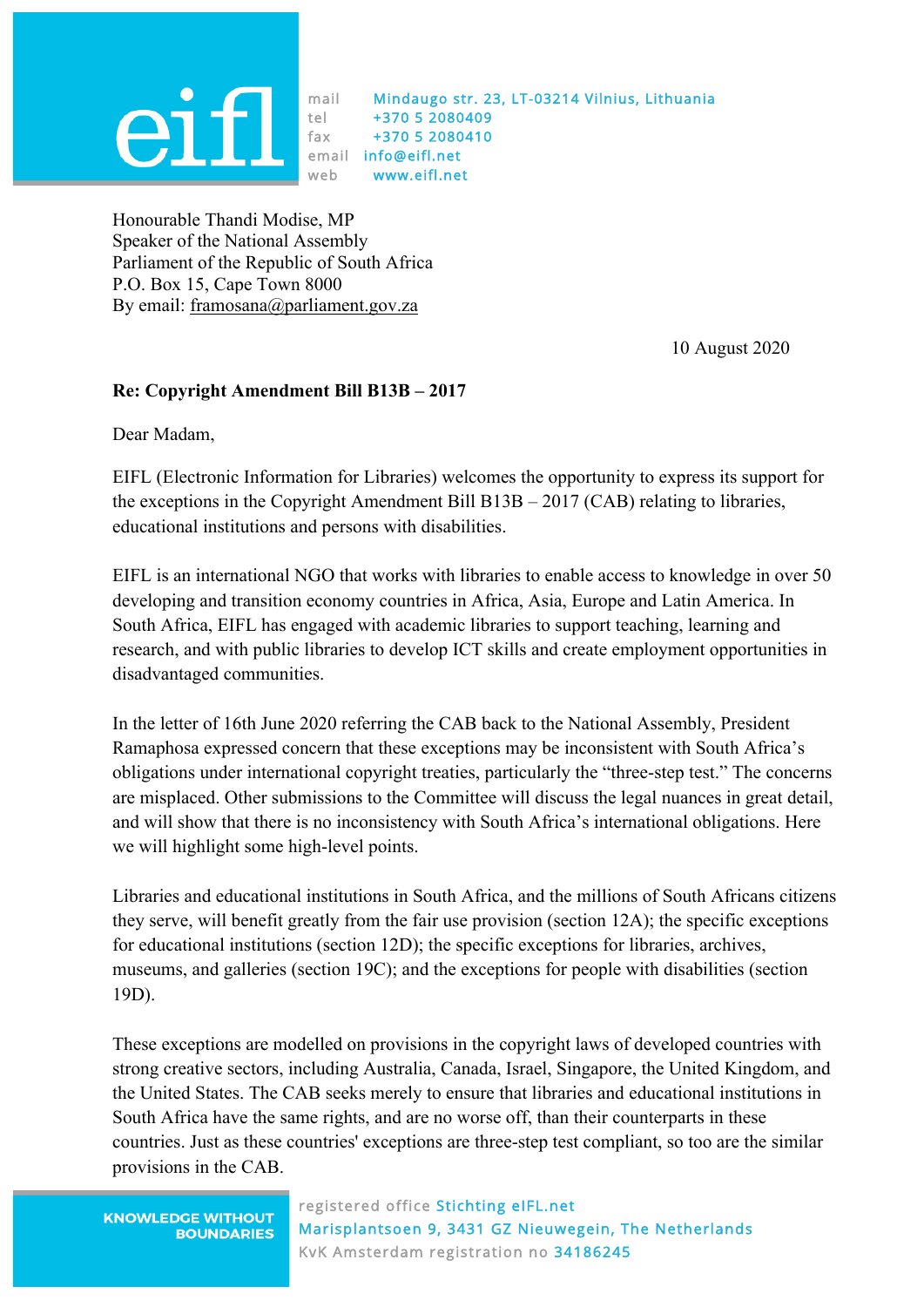

mail Mindaugo str. 23, LT-03214 Vilnius, Lithuania tel +370 5 2080409 fax +370 5 2080410 email info@eifl.net web www.eifl.net

Honourable Thandi Modise, MP Speaker of the National Assembly Parliament of the Republic of South Africa P.O. Box 15, Cape Town 8000 By email: framosana@parliament.gov.za

10 August 2020

## **Re: Copyright Amendment Bill B13B – 2017**

Dear Madam,

EIFL (Electronic Information for Libraries) welcomes the opportunity to express its support for the exceptions in the Copyright Amendment Bill B13B – 2017 (CAB) relating to libraries, educational institutions and persons with disabilities.

EIFL is an international NGO that works with libraries to enable access to knowledge in over 50 developing and transition economy countries in Africa, Asia, Europe and Latin America. In South Africa, EIFL has engaged with academic libraries to support teaching, learning and research, and with public libraries to develop ICT skills and create employment opportunities in disadvantaged communities.

In the letter of 16th June 2020 referring the CAB back to the National Assembly, President Ramaphosa expressed concern that these exceptions may be inconsistent with South Africa's obligations under international copyright treaties, particularly the "three-step test." The concerns are misplaced. Other submissions to the Committee will discuss the legal nuances in great detail, and will show that there is no inconsistency with South Africa's international obligations. Here we will highlight some high-level points.

Libraries and educational institutions in South Africa, and the millions of South Africans citizens they serve, will benefit greatly from the fair use provision (section 12A); the specific exceptions for educational institutions (section 12D); the specific exceptions for libraries, archives, museums, and galleries (section 19C); and the exceptions for people with disabilities (section 19D).

These exceptions are modelled on provisions in the copyright laws of developed countries with strong creative sectors, including Australia, Canada, Israel, Singapore, the United Kingdom, and the United States. The CAB seeks merely to ensure that libraries and educational institutions in South Africa have the same rights, and are no worse off, than their counterparts in these countries. Just as these countries' exceptions are three-step test compliant, so too are the similar provisions in the CAB.